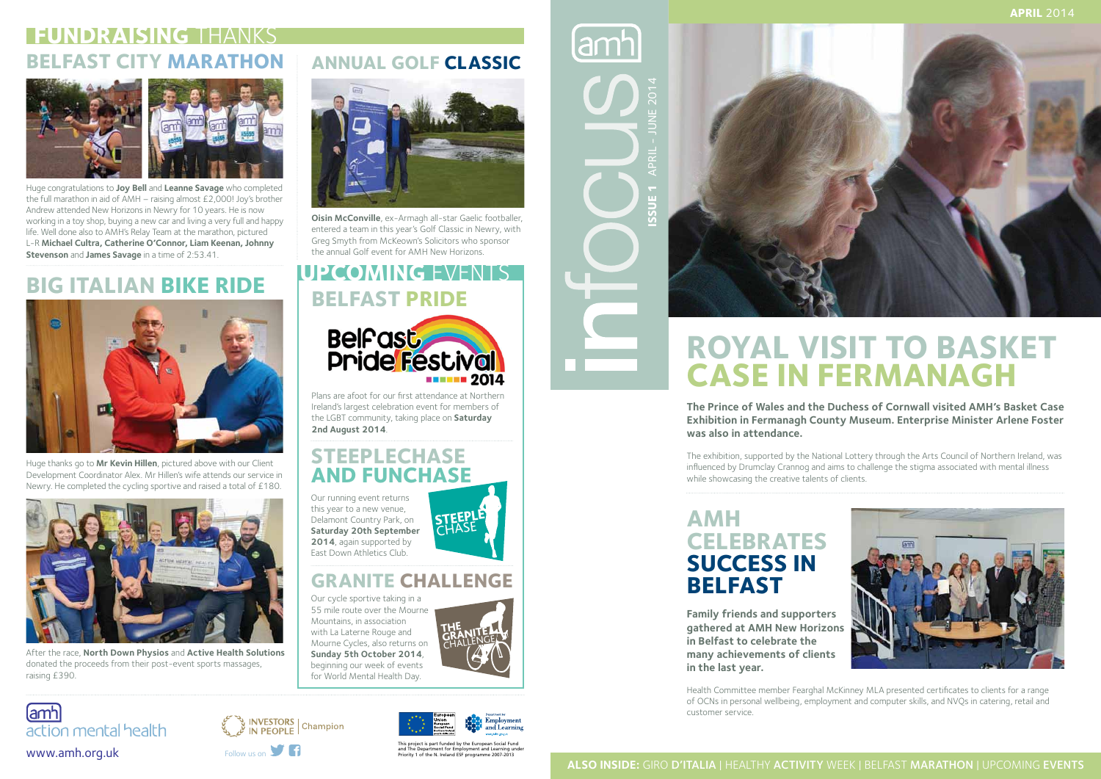lamhl **Issue 1** APRIL - June 2014



# **Royal Visit to Basket Case in Fermanagh**

**The Prince of Wales and the Duchess of Cornwall visited AMH's Basket Case Exhibition in Fermanagh County Museum. Enterprise Minister Arlene Foster was also in attendance.**

The exhibition, supported by the National Lottery through the Arts Council of Northern Ireland, was influenced by Drumclay Crannog and aims to challenge the stigma associated with mental illness while showcasing the creative talents of clients.

#### **AMH Celebrates Success in Belfast**

**Family friends and supporters gathered at AMH New Horizons in Belfast to celebrate the many achievements of clients in the last year.** 

Health Committee member Fearghal McKinney MLA presented certificates to clients for a range of OCNs in personal wellbeing, employment and computer skills, and NVQs in catering, retail and customer service.

action mental health

lamhl



**INVESTORS** | Champion

and The Department for Employment and Learning under works and The Department for Employment and Learning under<br>Priority 1 of the N. Ireland ESF programme 2007-2013<br>Priority 1 of the N. Ireland ESF programme 2007-2013

Plans are afoot for our first attendance at Northern<br>Ireland's largest celebration event for members of Ireland's largest celebration event for members of the LGBT community, taking place on **Saturday 2nd August 2014**.





This project is part funded by the European Social Fund

#### **Annual Golf Classic**



**Oisin McConville**, ex-Armagh all-star Gaelic footballer, entered a team in this year's Golf Classic in Newry, with Greg Smyth from McKeown's Solicitors who sponsor the annual Golf event for AMH New Horizons.

#### **Steeplechase and Funchase**

#### **Granite Challenge**

Our running event returns this year to a new venue, Delamont Country Park, on **Saturday 20th September 2014**, again supported by East Down Athletics Club.

Our cycle sportive taking in a 55 mile route over the Mourne Mountains, in association with La Laterne Rouge and<br>Mourne Cycles, also returns Mourne Cycles, also returns on<br>Sunday 5th October 2014 **Sunday 5th October 2014**, beginning our week of events for World Mental Health Day.







# **Belfast Pride UPCOMING** EVENTS



Huge thanks go to **Mr Kevin Hillen**, pictured above with our Client Development Coordinator Alex. Mr Hillen's wife attends our service in Newry. He completed the cycling sportive and raised a total of £180.



# **FUNDRAISING** THANKS **BELFAST CITY MARATHON**



After the race, **North Down Physios** and **Active Health Solutions** donated the proceeds from their post-event sports massages, raising £390.

# **Big Italian Bike Ride**



Huge congratulations to **Joy Bell** and **Leanne Savage** who completed the full marathon in aid of AMH – raising almost £2,000! Joy's brother Andrew attended New Horizons in Newry for 10 years. He is now working in a toy shop, buying a new car and living a very full and happy life. Well done also to AMH's Relay Team at the marathon, pictured L-R **Michael Cultra, Catherine O'Connor, Liam Keenan, Johnny Stevenson** and **James Savage** in a time of 2:53.41.